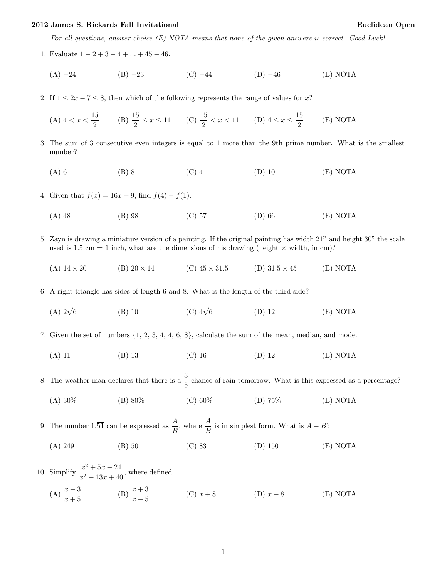## 2012 James S. Rickards Fall Invitational Euclidean Open

For all questions, answer choice (E) NOTA means that none of the given answers is correct. Good Luck!

- 1. Evaluate  $1 2 + 3 4 + \ldots + 45 46$ .
	- (A) −24 (B) −23 (C) −44 (D) −46 (E) NOTA
- 2. If  $1 \leq 2x 7 \leq 8$ , then which of the following represents the range of values for x?

(A) 
$$
4 < x < \frac{15}{2}
$$
 \t(B)  $\frac{15}{2} \le x \le 11$  \t(C)  $\frac{15}{2} < x < 11$  \t(D)  $4 \le x \le \frac{15}{2}$  \t(E) NOTA

- 3. The sum of 3 consecutive even integers is equal to 1 more than the 9th prime number. What is the smallest number?
	- (A) 6 (B) 8 (C) 4 (D) 10 (E) NOTA
- 4. Given that  $f(x) = 16x + 9$ , find  $f(4) f(1)$ .
	- (A) 48 (B) 98 (C) 57 (D) 66 (E) NOTA
- 5. Zayn is drawing a miniature version of a painting. If the original painting has width 21" and height 30" the scale used is 1.5 cm = 1 inch, what are the dimensions of his drawing (height  $\times$  width, in cm)?
	- (A)  $14 \times 20$  (B)  $20 \times 14$  (C)  $45 \times 31.5$  (D)  $31.5 \times 45$  (E) NOTA
- 6. A right triangle has sides of length 6 and 8. What is the length of the third side?
	- $(A)$   $2\sqrt{6}$ (B) 10 (C)  $4\sqrt{6}$ 6 (D) 12 (E) NOTA

7. Given the set of numbers {1, 2, 3, 4, 4, 6, 8}, calculate the sum of the mean, median, and mode.

(A) 11 (B) 13 (C) 16 (D) 12 (E) NOTA

8. The weather man declares that there is a  $\frac{3}{5}$  chance of rain tomorrow. What is this expressed as a percentage?

- (A) 30% (B) 80% (C) 60% (D) 75% (E) NOTA
- 9. The number 1.51 can be expressed as  $\frac{A}{B}$ , where  $\frac{A}{B}$  is in simplest form. What is  $A + B$ ?
	- (A) 249 (B) 50 (C) 83 (D) 150 (E) NOTA
- 10. Simplify  $\frac{x^2 + 5x 24}{x^2 + 12x + 40}$  $\frac{x}{x^2+13x+40}$ , where defined.
	- (A)  $\frac{x-3}{x+5}$  (B)  $\frac{x+3}{x-5}$  (C)  $x+8$  (D)  $x-8$  (E) NOTA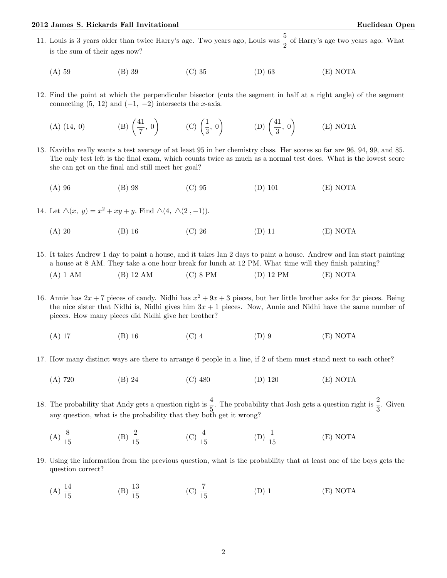## 2012 James S. Rickards Fall Invitational Euclidean Open

- 11. Louis is 3 years older than twice Harry's age. Two years ago, Louis was  $\frac{5}{2}$  of Harry's age two years ago. What is the sum of their ages now?
	- (A) 59 (B) 39 (C) 35 (D) 63 (E) NOTA
- 12. Find the point at which the perpendicular bisector (cuts the segment in half at a right angle) of the segment connecting  $(5, 12)$  and  $(-1, -2)$  intersects the x-axis.
	- $(A)$   $(14, 0)$ 41  $\frac{11}{7}$ , 0) (C)  $\left(\frac{1}{3}\right)$  $\left(\frac{1}{3}, 0\right)$  (D)  $\left(\frac{41}{3}\right)$  $\frac{41}{3}$ , 0) (E) NOTA
- 13. Kavitha really wants a test average of at least 95 in her chemistry class. Her scores so far are 96, 94, 99, and 85. The only test left is the final exam, which counts twice as much as a normal test does. What is the lowest score she can get on the final and still meet her goal?
	- (A) 96 (B) 98 (C) 95 (D) 101 (E) NOTA
- 14. Let  $\Delta(x, y) = x^2 + xy + y$ . Find  $\Delta(4, \Delta(2, -1))$ .
	- (A) 20 (B) 16 (C) 26 (D) 11 (E) NOTA
- 15. It takes Andrew 1 day to paint a house, and it takes Ian 2 days to paint a house. Andrew and Ian start painting a house at 8 AM. They take a one hour break for lunch at 12 PM. What time will they finish painting?

(A) 1 AM (B) 12 AM (C) 8 PM (D) 12 PM (E) NOTA

- 16. Annie has  $2x + 7$  pieces of candy. Nidhi has  $x^2 + 9x + 3$  pieces, but her little brother asks for 3x pieces. Being the nice sister that Nidhi is, Nidhi gives him  $3x + 1$  pieces. Now, Annie and Nidhi have the same number of pieces. How many pieces did Nidhi give her brother?
	- (A) 17 (B) 16 (C) 4 (D) 9 (E) NOTA
- 17. How many distinct ways are there to arrange 6 people in a line, if 2 of them must stand next to each other?
	- (A) 720 (B) 24 (C) 480 (D) 120 (E) NOTA
- 18. The probability that Andy gets a question right is  $\frac{4}{5}$ . The probability that Josh gets a question right is  $\frac{2}{3}$ . Given any question, what is the probability that they both get it wrong?
	- (A)  $\frac{8}{15}$ (B)  $\frac{2}{15}$ (C)  $\frac{4}{15}$ (D)  $\frac{1}{15}$ (E) NOTA
- 19. Using the information from the previous question, what is the probability that at least one of the boys gets the question correct?
	- (A)  $\frac{14}{15}$  (B)  $\frac{13}{15}$  (C)  $\frac{7}{15}$ (D) 1 (E) NOTA